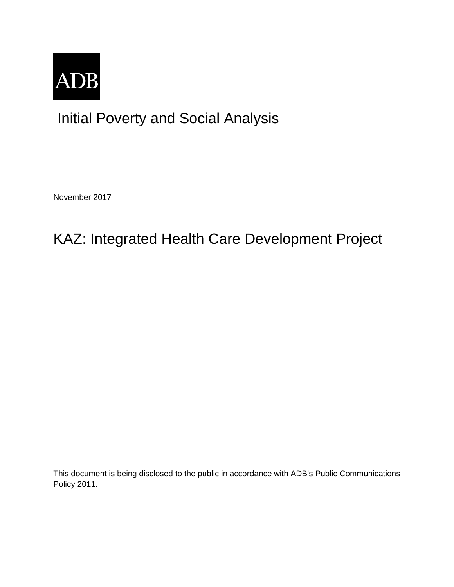

## Initial Poverty and Social Analysis

November 2017

# KAZ: Integrated Health Care Development Project

This document is being disclosed to the public in accordance with ADB's Public Communications Policy 2011.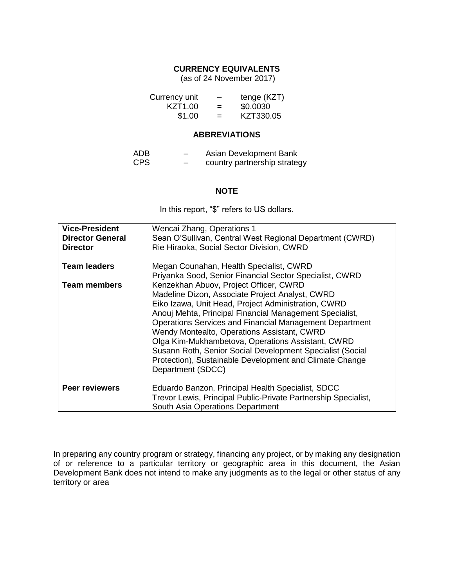#### **CURRENCY EQUIVALENTS**

(as of 24 November 2017)

| Currency unit       | -   | tenge (KZT) |
|---------------------|-----|-------------|
| KZT <sub>1.00</sub> | $=$ | \$0.0030    |
| \$1.00              | $=$ | KZT330.05   |

#### **ABBREVIATIONS**

| ADB  | - | Asian Development Bank       |
|------|---|------------------------------|
| CPS. | - | country partnership strategy |

#### **NOTE**

In this report, "\$" refers to US dollars.

| <b>Vice-President</b><br><b>Director General</b><br><b>Director</b> | Wencai Zhang, Operations 1<br>Sean O'Sullivan, Central West Regional Department (CWRD)<br>Rie Hiraoka, Social Sector Division, CWRD                                                                                                                                                                                                                                                                                                                                                                                     |
|---------------------------------------------------------------------|-------------------------------------------------------------------------------------------------------------------------------------------------------------------------------------------------------------------------------------------------------------------------------------------------------------------------------------------------------------------------------------------------------------------------------------------------------------------------------------------------------------------------|
| <b>Team leaders</b>                                                 | Megan Counahan, Health Specialist, CWRD<br>Priyanka Sood, Senior Financial Sector Specialist, CWRD                                                                                                                                                                                                                                                                                                                                                                                                                      |
| <b>Team members</b>                                                 | Kenzekhan Abuov, Project Officer, CWRD<br>Madeline Dizon, Associate Project Analyst, CWRD<br>Eiko Izawa, Unit Head, Project Administration, CWRD<br>Anouj Mehta, Principal Financial Management Specialist,<br>Operations Services and Financial Management Department<br>Wendy Montealto, Operations Assistant, CWRD<br>Olga Kim-Mukhambetova, Operations Assistant, CWRD<br>Susann Roth, Senior Social Development Specialist (Social<br>Protection), Sustainable Development and Climate Change<br>Department (SDCC) |
| <b>Peer reviewers</b>                                               | Eduardo Banzon, Principal Health Specialist, SDCC<br>Trevor Lewis, Principal Public-Private Partnership Specialist,<br>South Asia Operations Department                                                                                                                                                                                                                                                                                                                                                                 |

In preparing any country program or strategy, financing any project, or by making any designation of or reference to a particular territory or geographic area in this document, the Asian Development Bank does not intend to make any judgments as to the legal or other status of any territory or area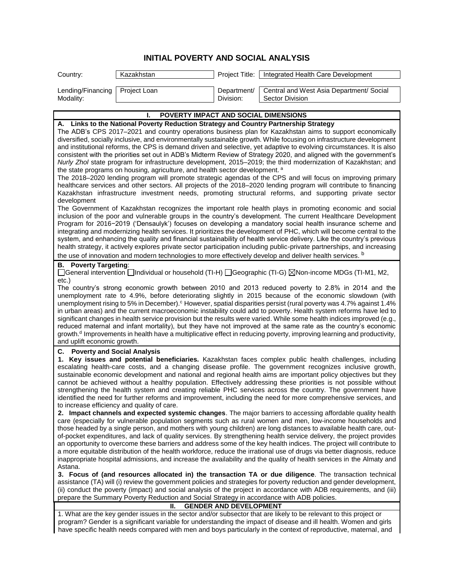### **INITIAL POVERTY AND SOCIAL ANALYSIS**

| Country:                                                                                                                                                                                                                                                                                                                                                                                                                                                                                                                                                                                                                                                                                                                                                                                                                                                                                                                                                                                                                                                                                                                                            | Kazakhstan                                  | Project Title:           | Integrated Health Care Development                                                                                                                                                                                                                                                                                                                                                                                                                                                                                                                                                                                                                                                                                                                                                                                                                    |  |
|-----------------------------------------------------------------------------------------------------------------------------------------------------------------------------------------------------------------------------------------------------------------------------------------------------------------------------------------------------------------------------------------------------------------------------------------------------------------------------------------------------------------------------------------------------------------------------------------------------------------------------------------------------------------------------------------------------------------------------------------------------------------------------------------------------------------------------------------------------------------------------------------------------------------------------------------------------------------------------------------------------------------------------------------------------------------------------------------------------------------------------------------------------|---------------------------------------------|--------------------------|-------------------------------------------------------------------------------------------------------------------------------------------------------------------------------------------------------------------------------------------------------------------------------------------------------------------------------------------------------------------------------------------------------------------------------------------------------------------------------------------------------------------------------------------------------------------------------------------------------------------------------------------------------------------------------------------------------------------------------------------------------------------------------------------------------------------------------------------------------|--|
| Lending/Financing<br>Modality:                                                                                                                                                                                                                                                                                                                                                                                                                                                                                                                                                                                                                                                                                                                                                                                                                                                                                                                                                                                                                                                                                                                      | Project Loan                                | Department/<br>Division: | Central and West Asia Department/ Social<br>Sector Division                                                                                                                                                                                                                                                                                                                                                                                                                                                                                                                                                                                                                                                                                                                                                                                           |  |
|                                                                                                                                                                                                                                                                                                                                                                                                                                                                                                                                                                                                                                                                                                                                                                                                                                                                                                                                                                                                                                                                                                                                                     | POVERTY IMPACT AND SOCIAL DIMENSIONS<br>L   |                          |                                                                                                                                                                                                                                                                                                                                                                                                                                                                                                                                                                                                                                                                                                                                                                                                                                                       |  |
|                                                                                                                                                                                                                                                                                                                                                                                                                                                                                                                                                                                                                                                                                                                                                                                                                                                                                                                                                                                                                                                                                                                                                     |                                             |                          |                                                                                                                                                                                                                                                                                                                                                                                                                                                                                                                                                                                                                                                                                                                                                                                                                                                       |  |
| A. Links to the National Poverty Reduction Strategy and Country Partnership Strategy<br>The ADB's CPS 2017-2021 and country operations business plan for Kazakhstan aims to support economically<br>diversified, socially inclusive, and environmentally sustainable growth. While focusing on infrastructure development<br>and institutional reforms, the CPS is demand driven and selective, yet adaptive to evolving circumstances. It is also<br>consistent with the priorities set out in ADB's Midterm Review of Strategy 2020, and aligned with the government's<br>Nurly Zhol state program for infrastructure development, 2015-2019; the third modernization of Kazakhstan; and<br>the state programs on housing, agriculture, and health sector development. <sup>a</sup><br>The 2018-2020 lending program will promote strategic agendas of the CPS and will focus on improving primary<br>healthcare services and other sectors. All projects of the 2018–2020 lending program will contribute to financing<br>Kazakhstan infrastructure investment needs, promoting structural reforms, and supporting private sector<br>development |                                             |                          |                                                                                                                                                                                                                                                                                                                                                                                                                                                                                                                                                                                                                                                                                                                                                                                                                                                       |  |
|                                                                                                                                                                                                                                                                                                                                                                                                                                                                                                                                                                                                                                                                                                                                                                                                                                                                                                                                                                                                                                                                                                                                                     |                                             |                          | The Government of Kazakhstan recognizes the important role health plays in promoting economic and social<br>inclusion of the poor and vulnerable groups in the country's development. The current Healthcare Development<br>Program for 2016-2019 ('Densaulyk') focuses on developing a mandatory social health insurance scheme and<br>integrating and modernizing health services. It prioritizes the development of PHC, which will become central to the<br>system, and enhancing the quality and financial sustainability of health service delivery. Like the country's previous<br>health strategy, it actively explores private sector participation including public-private partnerships, and increasing<br>the use of innovation and modern technologies to more effectively develop and deliver health services. b                        |  |
| <b>Poverty Targeting:</b><br>В.<br>$etc.$ )                                                                                                                                                                                                                                                                                                                                                                                                                                                                                                                                                                                                                                                                                                                                                                                                                                                                                                                                                                                                                                                                                                         |                                             |                          | □General intervention □Individual or household (TI-H) □Geographic (TI-G) ⊠Non-income MDGs (TI-M1, M2,                                                                                                                                                                                                                                                                                                                                                                                                                                                                                                                                                                                                                                                                                                                                                 |  |
| and uplift economic growth.                                                                                                                                                                                                                                                                                                                                                                                                                                                                                                                                                                                                                                                                                                                                                                                                                                                                                                                                                                                                                                                                                                                         |                                             |                          | The country's strong economic growth between 2010 and 2013 reduced poverty to 2.8% in 2014 and the<br>unemployment rate to 4.9%, before deteriorating slightly in 2015 because of the economic slowdown (with<br>unemployment rising to 5% in December). <sup>c</sup> However, spatial disparities persist (rural poverty was 4.7% against 1.4%<br>in urban areas) and the current macroeconomic instability could add to poverty. Health system reforms have led to<br>significant changes in health service provision but the results were varied. While some health indices improved (e.g.,<br>reduced maternal and infant mortality), but they have not improved at the same rate as the country's economic<br>growth. <sup>d</sup> Improvements in health have a multiplicative effect in reducing poverty, improving learning and productivity, |  |
| C. Poverty and Social Analysis                                                                                                                                                                                                                                                                                                                                                                                                                                                                                                                                                                                                                                                                                                                                                                                                                                                                                                                                                                                                                                                                                                                      | to increase efficiency and quality of care. |                          | 1. Key issues and potential beneficiaries. Kazakhstan faces complex public health challenges, including<br>escalating health-care costs, and a changing disease profile. The government recognizes inclusive growth,<br>sustainable economic development and national and regional health aims are important policy objectives but they<br>cannot be achieved without a healthy population. Effectively addressing these priorities is not possible without<br>strengthening the health system and creating reliable PHC services across the country. The government have<br>identified the need for further reforms and improvement, including the need for more comprehensive services, and<br>2. Impact channels and expected systemic changes. The major barriers to accessing affordable quality health                                          |  |
| Astana.                                                                                                                                                                                                                                                                                                                                                                                                                                                                                                                                                                                                                                                                                                                                                                                                                                                                                                                                                                                                                                                                                                                                             |                                             |                          | care (especially for vulnerable population segments such as rural women and men, low-income households and<br>those headed by a single person, and mothers with young children) are long distances to available health care, out-<br>of-pocket expenditures, and lack of quality services. By strengthening health service delivery, the project provides<br>an opportunity to overcome these barriers and address some of the key health indices. The project will contribute to<br>a more equitable distribution of the health workforce, reduce the irrational use of drugs via better diagnosis, reduce<br>inappropriate hospital admissions, and increase the availability and the quality of health services in the Almaty and<br>3. Focus of (and resources allocated in) the transaction TA or due diligence. The transaction technical       |  |
| assistance (TA) will (i) review the government policies and strategies for poverty reduction and gender development,<br>(ii) conduct the poverty (impact) and social analysis of the project in accordance with ADB requirements, and (iii)<br>prepare the Summary Poverty Reduction and Social Strategy in accordance with ADB policies.                                                                                                                                                                                                                                                                                                                                                                                                                                                                                                                                                                                                                                                                                                                                                                                                           |                                             |                          |                                                                                                                                                                                                                                                                                                                                                                                                                                                                                                                                                                                                                                                                                                                                                                                                                                                       |  |
| <b>GENDER AND DEVELOPMENT</b><br>Ш.                                                                                                                                                                                                                                                                                                                                                                                                                                                                                                                                                                                                                                                                                                                                                                                                                                                                                                                                                                                                                                                                                                                 |                                             |                          |                                                                                                                                                                                                                                                                                                                                                                                                                                                                                                                                                                                                                                                                                                                                                                                                                                                       |  |
|                                                                                                                                                                                                                                                                                                                                                                                                                                                                                                                                                                                                                                                                                                                                                                                                                                                                                                                                                                                                                                                                                                                                                     |                                             |                          | 1. What are the key gender issues in the sector and/or subsector that are likely to be relevant to this project or<br>program? Gender is a significant variable for understanding the impact of disease and ill health. Women and girls<br>have specific health needs compared with men and boys particularly in the context of reproductive, maternal, and                                                                                                                                                                                                                                                                                                                                                                                                                                                                                           |  |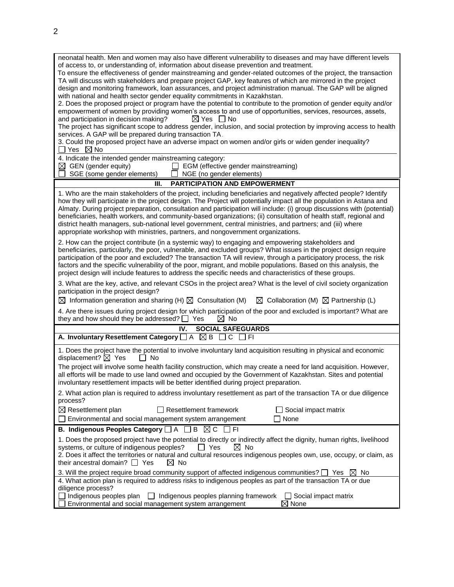| neonatal health. Men and women may also have different vulnerability to diseases and may have different levels<br>of access to, or understanding of, information about disease prevention and treatment.<br>To ensure the effectiveness of gender mainstreaming and gender-related outcomes of the project, the transaction<br>TA will discuss with stakeholders and prepare project GAP, key features of which are mirrored in the project<br>design and monitoring framework, loan assurances, and project administration manual. The GAP will be aligned<br>with national and health sector gender equality commitments in Kazakhstan.<br>2. Does the proposed project or program have the potential to contribute to the promotion of gender equity and/or<br>empowerment of women by providing women's access to and use of opportunities, services, resources, assets,<br>and participation in decision making?<br>$\boxtimes$ Yes $\Box$ No<br>The project has significant scope to address gender, inclusion, and social protection by improving access to health<br>services. A GAP will be prepared during transaction TA.<br>3. Could the proposed project have an adverse impact on women and/or girls or widen gender inequality?<br>Yes $\boxtimes$ No<br>4. Indicate the intended gender mainstreaming category: |  |  |  |
|---------------------------------------------------------------------------------------------------------------------------------------------------------------------------------------------------------------------------------------------------------------------------------------------------------------------------------------------------------------------------------------------------------------------------------------------------------------------------------------------------------------------------------------------------------------------------------------------------------------------------------------------------------------------------------------------------------------------------------------------------------------------------------------------------------------------------------------------------------------------------------------------------------------------------------------------------------------------------------------------------------------------------------------------------------------------------------------------------------------------------------------------------------------------------------------------------------------------------------------------------------------------------------------------------------------------------------|--|--|--|
| $\boxtimes$ GEN (gender equity)<br>EGM (effective gender mainstreaming)<br>SGE (some gender elements)<br>NGE (no gender elements)                                                                                                                                                                                                                                                                                                                                                                                                                                                                                                                                                                                                                                                                                                                                                                                                                                                                                                                                                                                                                                                                                                                                                                                               |  |  |  |
| <b>PARTICIPATION AND EMPOWERMENT</b><br>Ш.                                                                                                                                                                                                                                                                                                                                                                                                                                                                                                                                                                                                                                                                                                                                                                                                                                                                                                                                                                                                                                                                                                                                                                                                                                                                                      |  |  |  |
| 1. Who are the main stakeholders of the project, including beneficiaries and negatively affected people? Identify<br>how they will participate in the project design. The Project will potentially impact all the population in Astana and<br>Almaty. During project preparation, consultation and participation will include: (i) group discussions with (potential)<br>beneficiaries, health workers, and community-based organizations; (ii) consultation of health staff, regional and<br>district health managers, sub-national level government, central ministries, and partners; and (iii) where<br>appropriate workshop with ministries, partners, and nongovernment organizations.                                                                                                                                                                                                                                                                                                                                                                                                                                                                                                                                                                                                                                    |  |  |  |
| 2. How can the project contribute (in a systemic way) to engaging and empowering stakeholders and<br>beneficiaries, particularly, the poor, vulnerable, and excluded groups? What issues in the project design require<br>participation of the poor and excluded? The transaction TA will review, through a participatory process, the risk<br>factors and the specific vulnerability of the poor, migrant, and mobile populations. Based on this analysis, the<br>project design will include features to address the specific needs and characteristics of these groups.                                                                                                                                                                                                                                                                                                                                                                                                                                                                                                                                                                                                                                                                                                                                                      |  |  |  |
| 3. What are the key, active, and relevant CSOs in the project area? What is the level of civil society organization<br>participation in the project design?<br>$\boxtimes$ Information generation and sharing (H) $\boxtimes$ Consultation (M)<br>$\boxtimes$ Collaboration (M) $\boxtimes$ Partnership (L)                                                                                                                                                                                                                                                                                                                                                                                                                                                                                                                                                                                                                                                                                                                                                                                                                                                                                                                                                                                                                     |  |  |  |
| 4. Are there issues during project design for which participation of the poor and excluded is important? What are<br>they and how should they be addressed? $\Box$ Yes<br>$\boxtimes$ No                                                                                                                                                                                                                                                                                                                                                                                                                                                                                                                                                                                                                                                                                                                                                                                                                                                                                                                                                                                                                                                                                                                                        |  |  |  |
| IV.<br><b>SOCIAL SAFEGUARDS</b>                                                                                                                                                                                                                                                                                                                                                                                                                                                                                                                                                                                                                                                                                                                                                                                                                                                                                                                                                                                                                                                                                                                                                                                                                                                                                                 |  |  |  |
| A. Involuntary Resettlement Category $\Box$ A $\boxtimes$ B<br>$\Box$ C<br>- I FI                                                                                                                                                                                                                                                                                                                                                                                                                                                                                                                                                                                                                                                                                                                                                                                                                                                                                                                                                                                                                                                                                                                                                                                                                                               |  |  |  |
| 1. Does the project have the potential to involve involuntary land acquisition resulting in physical and economic<br>displacement? $\boxtimes$ Yes<br>$\Box$ No                                                                                                                                                                                                                                                                                                                                                                                                                                                                                                                                                                                                                                                                                                                                                                                                                                                                                                                                                                                                                                                                                                                                                                 |  |  |  |
| The project will involve some health facility construction, which may create a need for land acquisition. However,<br>all efforts will be made to use land owned and occupied by the Government of Kazakhstan. Sites and potential<br>involuntary resettlement impacts will be better identified during project preparation.                                                                                                                                                                                                                                                                                                                                                                                                                                                                                                                                                                                                                                                                                                                                                                                                                                                                                                                                                                                                    |  |  |  |
| 2. What action plan is required to address involuntary resettlement as part of the transaction TA or due diligence<br>process?                                                                                                                                                                                                                                                                                                                                                                                                                                                                                                                                                                                                                                                                                                                                                                                                                                                                                                                                                                                                                                                                                                                                                                                                  |  |  |  |
| $\boxtimes$ Resettlement plan<br>$\Box$ Resettlement framework<br>Social impact matrix<br>Environmental and social management system arrangement<br>None                                                                                                                                                                                                                                                                                                                                                                                                                                                                                                                                                                                                                                                                                                                                                                                                                                                                                                                                                                                                                                                                                                                                                                        |  |  |  |
| B. Indigenous Peoples Category $\Box A \Box B \boxtimes C \Box F1$                                                                                                                                                                                                                                                                                                                                                                                                                                                                                                                                                                                                                                                                                                                                                                                                                                                                                                                                                                                                                                                                                                                                                                                                                                                              |  |  |  |
| 1. Does the proposed project have the potential to directly or indirectly affect the dignity, human rights, livelihood<br>systems, or culture of indigenous peoples?<br>Yes<br>$\boxtimes$ No<br>2. Does it affect the territories or natural and cultural resources indigenous peoples own, use, occupy, or claim, as<br>their ancestral domain? $\Box$ Yes<br>$\boxtimes$ No                                                                                                                                                                                                                                                                                                                                                                                                                                                                                                                                                                                                                                                                                                                                                                                                                                                                                                                                                  |  |  |  |
| 3. Will the project require broad community support of affected indigenous communities? $\Box$ Yes $\boxtimes$<br>No<br>4. What action plan is required to address risks to indigenous peoples as part of the transaction TA or due                                                                                                                                                                                                                                                                                                                                                                                                                                                                                                                                                                                                                                                                                                                                                                                                                                                                                                                                                                                                                                                                                             |  |  |  |
| diligence process?<br>Indigenous peoples plan<br>$\Box$ Indigenous peoples planning framework<br>$\Box$ Social impact matrix<br>None<br>Environmental and social management system arrangement                                                                                                                                                                                                                                                                                                                                                                                                                                                                                                                                                                                                                                                                                                                                                                                                                                                                                                                                                                                                                                                                                                                                  |  |  |  |